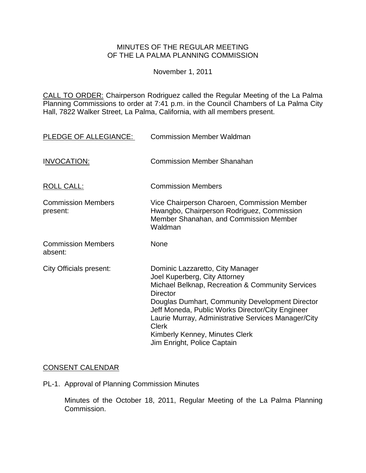### MINUTES OF THE REGULAR MEETING OF THE LA PALMA PLANNING COMMISSION

November 1, 2011

CALL TO ORDER: [Chairperson Rodriguez called the Regular Meeting of the La Palma](http://lapalma.granicus.com/MediaPlayerFrameHandler.php?view_id=&clip_id=622&meta_id=79430)  Planning Commissions [to order at 7:41 p.m. in the Council Chambers of La Palma City](http://lapalma.granicus.com/MediaPlayerFrameHandler.php?view_id=&clip_id=622&meta_id=79430)  [Hall, 7822 Walker Street, La Palma, California, with all members present.](http://lapalma.granicus.com/MediaPlayerFrameHandler.php?view_id=&clip_id=622&meta_id=79430) 

| PLEDGE OF ALLEGIANCE:                 | <b>Commission Member Waldman</b>                                                                                                                                                                                                                                                                                                                                                 |
|---------------------------------------|----------------------------------------------------------------------------------------------------------------------------------------------------------------------------------------------------------------------------------------------------------------------------------------------------------------------------------------------------------------------------------|
| <b>INVOCATION:</b>                    | <b>Commission Member Shanahan</b>                                                                                                                                                                                                                                                                                                                                                |
| <b>ROLL CALL:</b>                     | <b>Commission Members</b>                                                                                                                                                                                                                                                                                                                                                        |
| <b>Commission Members</b><br>present: | Vice Chairperson Charoen, Commission Member<br>Hwangbo, Chairperson Rodriguez, Commission<br>Member Shanahan, and Commission Member<br>Waldman                                                                                                                                                                                                                                   |
| <b>Commission Members</b><br>absent:  | <b>None</b>                                                                                                                                                                                                                                                                                                                                                                      |
| City Officials present:               | Dominic Lazzaretto, City Manager<br>Joel Kuperberg, City Attorney<br>Michael Belknap, Recreation & Community Services<br><b>Director</b><br>Douglas Dumhart, Community Development Director<br>Jeff Moneda, Public Works Director/City Engineer<br>Laurie Murray, Administrative Services Manager/City<br>Clerk<br>Kimberly Kenney, Minutes Clerk<br>Jim Enright, Police Captain |

## [CONSENT CALENDAR](http://lapalma.granicus.com/MediaPlayerFrameHandler.php?view_id=&clip_id=622&meta_id=79537)

PL-1. Approval of Planning Commission Minutes

Minutes of the October 18, 2011, Regular Meeting of the La Palma Planning Commission.